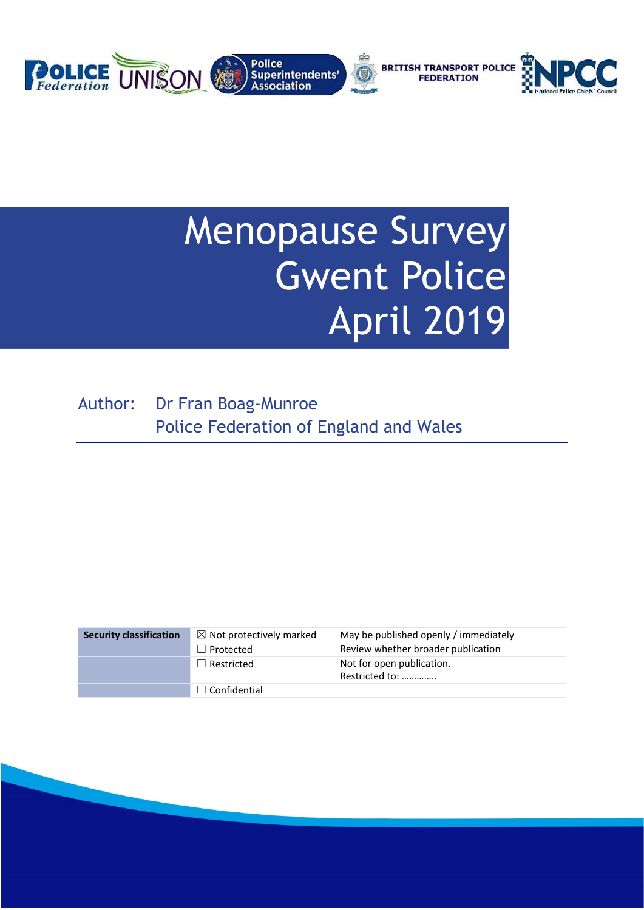

# Menopause Survey Gwent Police April 2019

Author: Dr Fran Boag-Munroe Police Federation of England and Wales

| <b>Security classification</b> | $\boxtimes$ Not protectively marked | May be published openly / immediately       |
|--------------------------------|-------------------------------------|---------------------------------------------|
|                                | $\Box$ Protected                    | Review whether broader publication          |
|                                | $\Box$ Restricted                   | Not for open publication.<br>Restricted to: |
|                                | $\Box$ Confidential                 |                                             |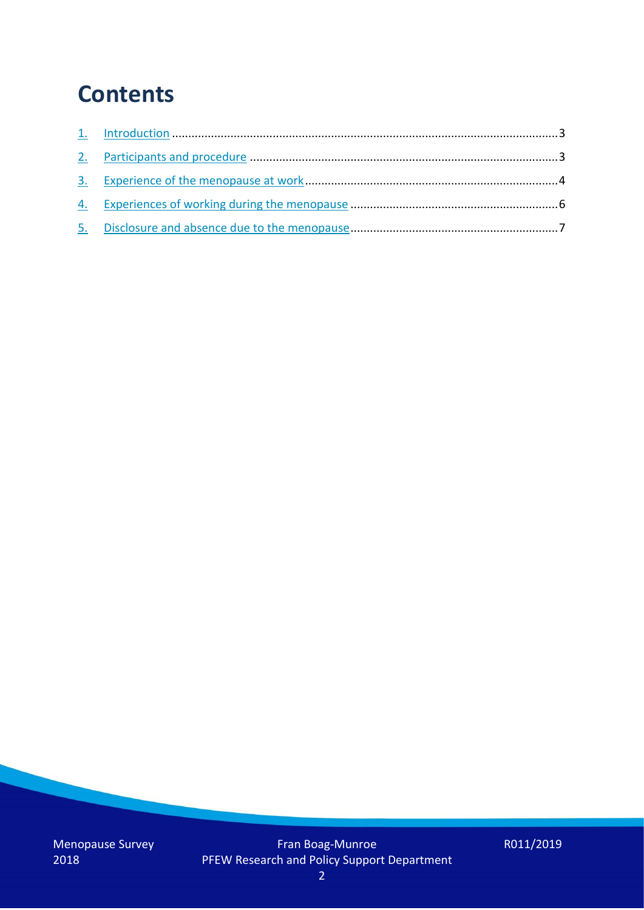## **Contents**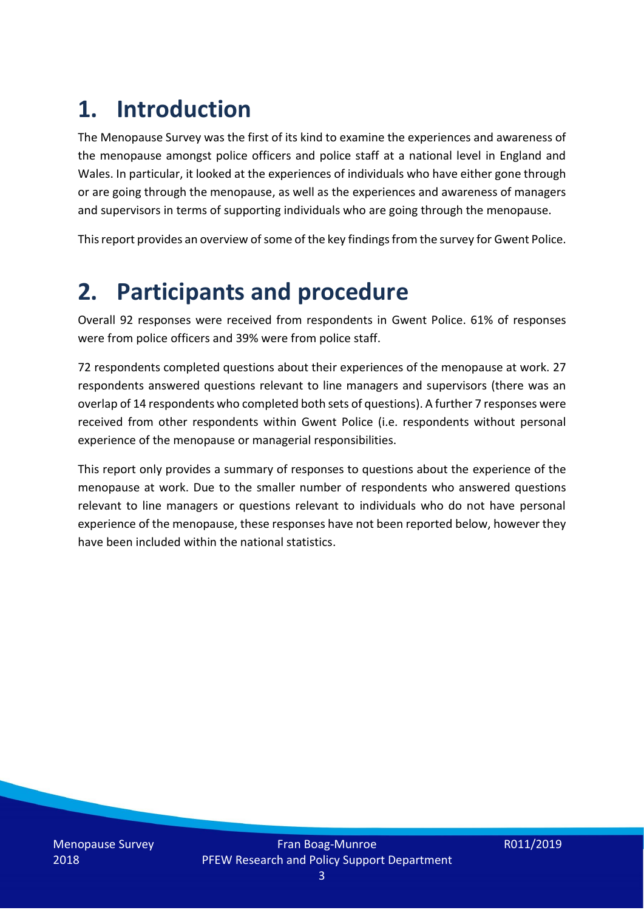# **1. Introduction**

The Menopause Survey was the first of its kind to examine the experiences and awareness of the menopause amongst police officers and police staff at a national level in England and Wales. In particular, it looked at the experiences of individuals who have either gone through or are going through the menopause, as well as the experiences and awareness of managers and supervisors in terms of supporting individuals who are going through the menopause.

This report provides an overview of some of the key findings from the survey for Gwent Police.

### **2. Participants and procedure**

Overall 92 responses were received from respondents in Gwent Police. 61% of responses were from police officers and 39% were from police staff.

72 respondents completed questions about their experiences of the menopause at work. 27 respondents answered questions relevant to line managers and supervisors (there was an overlap of 14 respondents who completed both sets of questions). A further 7 responses were received from other respondents within Gwent Police (i.e. respondents without personal experience of the menopause or managerial responsibilities.

This report only provides a summary of responses to questions about the experience of the menopause at work. Due to the smaller number of respondents who answered questions relevant to line managers or questions relevant to individuals who do not have personal experience of the menopause, these responses have not been reported below, however they have been included within the national statistics.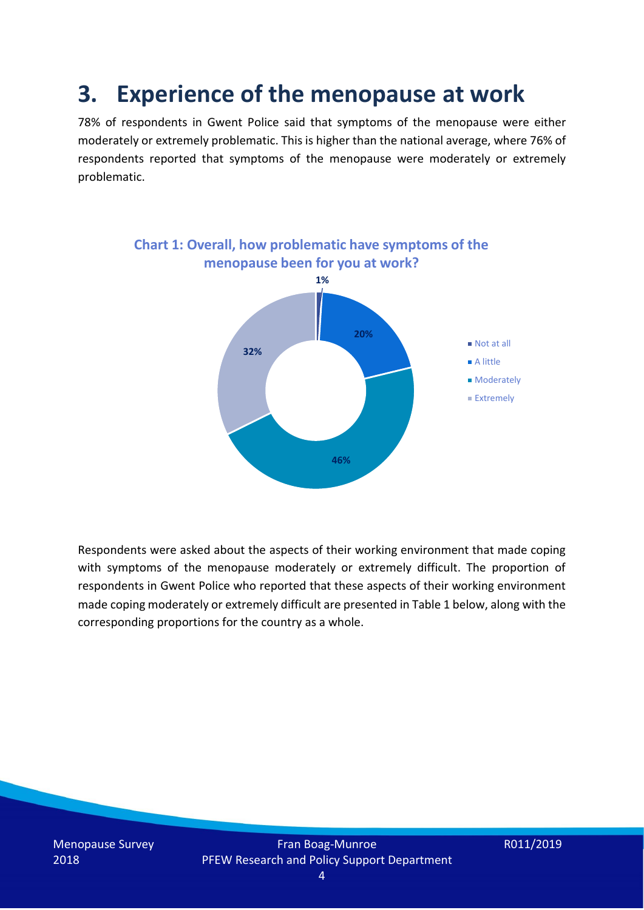### **3. Experience of the menopause at work**

78% of respondents in Gwent Police said that symptoms of the menopause were either moderately or extremely problematic. This is higher than the national average, where 76% of respondents reported that symptoms of the menopause were moderately or extremely problematic.



Respondents were asked about the aspects of their working environment that made coping with symptoms of the menopause moderately or extremely difficult. The proportion of respondents in Gwent Police who reported that these aspects of their working environment made coping moderately or extremely difficult are presented in Table 1 below, along with the corresponding proportions for the country as a whole.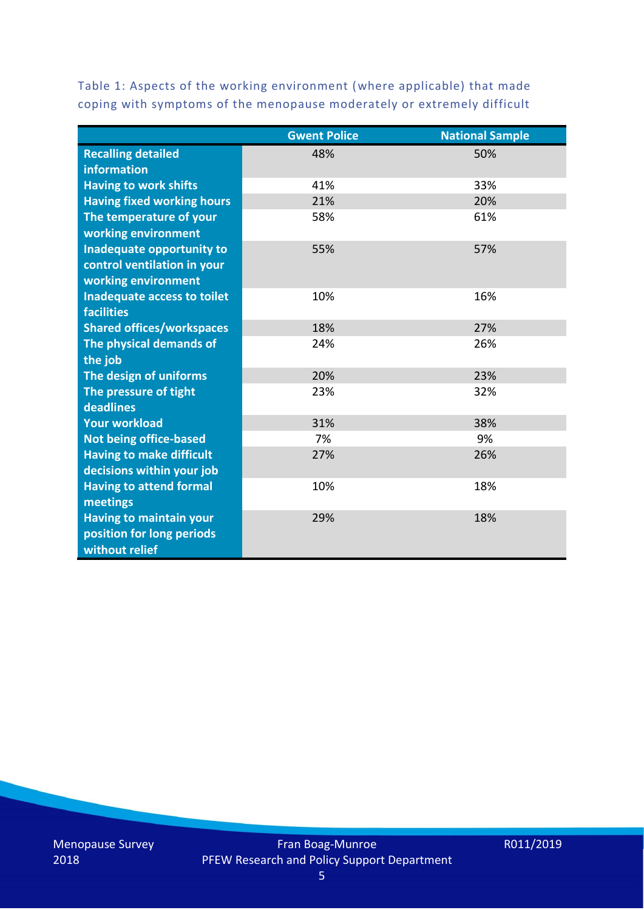Table 1: Aspects of the working environment (where applicable) that made coping with symptoms of the menopause moderately or extremely difficult

|                                   | <b>Gwent Police</b> | <b>National Sample</b> |
|-----------------------------------|---------------------|------------------------|
| <b>Recalling detailed</b>         | 48%                 | 50%                    |
| information                       |                     |                        |
| <b>Having to work shifts</b>      | 41%                 | 33%                    |
| <b>Having fixed working hours</b> | 21%                 | 20%                    |
| The temperature of your           | 58%                 | 61%                    |
| working environment               |                     |                        |
| Inadequate opportunity to         | 55%                 | 57%                    |
| control ventilation in your       |                     |                        |
| working environment               |                     |                        |
| Inadequate access to toilet       | 10%                 | 16%                    |
| <b>facilities</b>                 |                     |                        |
| <b>Shared offices/workspaces</b>  | 18%                 | 27%                    |
| The physical demands of           | 24%                 | 26%                    |
| the job                           |                     |                        |
| The design of uniforms            | 20%                 | 23%                    |
| The pressure of tight             | 23%                 | 32%                    |
| deadlines                         |                     |                        |
| <b>Your workload</b>              | 31%                 | 38%                    |
| <b>Not being office-based</b>     | 7%                  | 9%                     |
| <b>Having to make difficult</b>   | 27%                 | 26%                    |
| decisions within your job         |                     |                        |
| <b>Having to attend formal</b>    | 10%                 | 18%                    |
| meetings                          |                     |                        |
| <b>Having to maintain your</b>    | 29%                 | 18%                    |
| position for long periods         |                     |                        |
| without relief                    |                     |                        |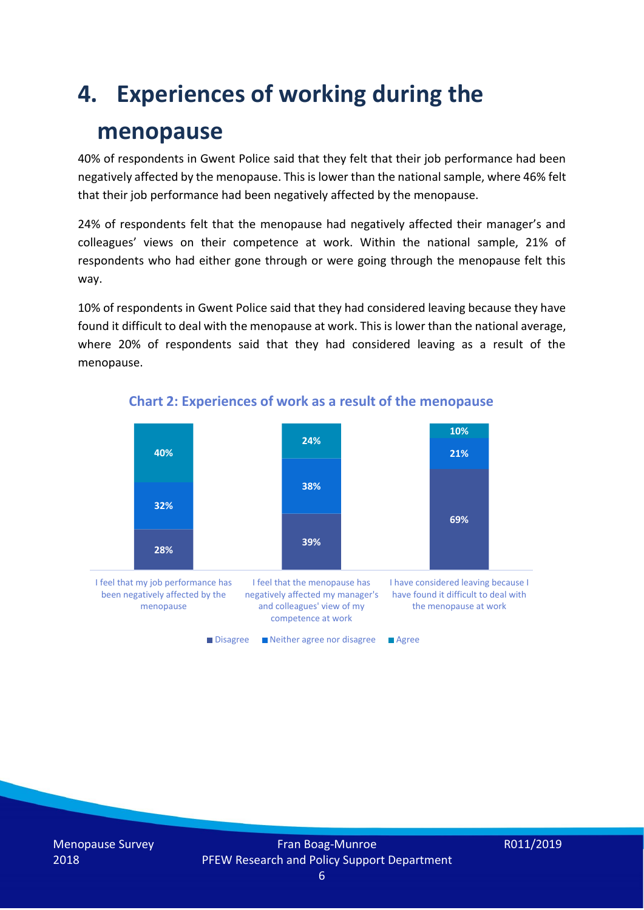### **4. Experiences of working during the**

### **menopause**

40% of respondents in Gwent Police said that they felt that their job performance had been negatively affected by the menopause. This is lower than the national sample, where 46% felt that their job performance had been negatively affected by the menopause.

24% of respondents felt that the menopause had negatively affected their manager's and colleagues' views on their competence at work. Within the national sample, 21% of respondents who had either gone through or were going through the menopause felt this way.

10% of respondents in Gwent Police said that they had considered leaving because they have found it difficult to deal with the menopause at work. This is lower than the national average, where 20% of respondents said that they had considered leaving as a result of the menopause.



#### **Chart 2: Experiences of work as a result of the menopause**